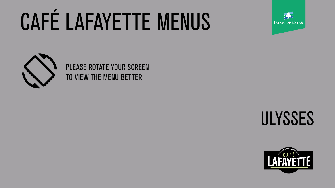# CAFÉ LAFAYETTE MENUS



## ULYSSES



### PLEASE ROTATE YOUR SCREEN TO VIEW THE MENU BETTER

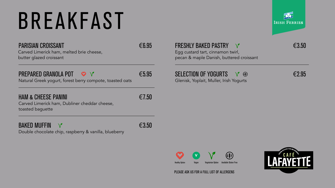Carved Limerick ham, melted brie cheese, butter glazed croissant

#### PREPARED GRANOLA POT ◎ ↑ V €5.95

Natural Greek yogurt, forest berry compote, toasted oats

#### HAM & CHEESE PANINI  $\epsilon$ 7.50

Carved Limerick ham, Dubliner cheddar cheese, toasted baguette



Double chocolate chip, raspberry & vanilla, blueberry





#### FRESHLY BAKED PASTRY €3.50

Egg custard tart, cinnamon twirl, pecan & maple Danish, buttered croissant

#### $SELECTION OF YOGURTS \quad V \quad \circledast$   $\qquad \qquad \in 2.95$

Glenisk, Yoplait, Muller, Irish Yogurts

# BREAKFAST

#### PARISIAN CROISSANT <del>€6.95</del>



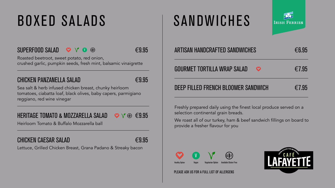## BOXED SALADS SANDWICHES

#### $SUPERFOOD SALAD \cong V \bullet \circ \bullet$ V U CD

Roasted beetroot, sweet potato, red onion, crushed garlic, pumpkin seeds, fresh mint, balsamic vinaigrette

#### CHICKEN PANZANELLA SALAD  $\epsilon$ 9.95

Sea salt & herb infused chicken breast, chunky heirloom tomatoes, ciabatta loaf, black olives, baby capers, parmigiano reggiano, red wine vinegar

#### HERITAGE TOMATO & MOZZARELLA SALAD  $\otimes \vee \circledast \in 9.95$

Heirloom Tomato & Buffalo Mozzarella ball

#### CHICKEN CAESAR SALAD  $\epsilon$ 9.95

Lettuce, Grilled Chicken Breast, Grana Padano & Streaky bacon



### ARTISAN HANDCRAFTED SANDWICHES  $\epsilon$ 6.95 GOURMET TORTILLA WRAP SALAD  $\otimes$   $\in$  7.95 DEEP FILLED FRENCH BLOOMER SANDWICH  $\epsilon$ 7.95

Freshly prepared daily using the finest local produce served on a selection continental grain breads.

We roast all of our turkey, ham & beef sandwich fillings on board to provide a fresher flavour for you



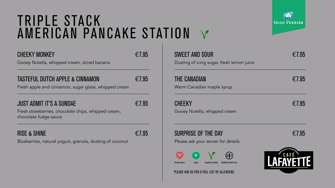Gooey Nutella, whipped cream, sliced banana

#### TASTEFUL DUTCH APPLE & CINNAMON  $\epsilon$ 7.95

Fresh apple and cinnamon, sugar glaze, whipped cream

#### JUST ADMIT IT'S A SUNDAE  $\epsilon$ 7.95

Fresh strawberries, chocolate chips, whipped cream, chocolate fudge sauce

#### RISE & SHINE  $\epsilon$  7.95

Blueberries, natural yogurt, granola, dusting of coconut



### $\text{SWEET AND SOLR} \in 7.95$

Dusting of icing sugar, fresh lemon juice

#### THE CANADIAN  $\epsilon$  7.95

Warm Canadian maple syrup

#### $\mathsf{CHEEKY} \quad \in 7.95$

Gooey Nutella, whipped cream

#### SURPRISE OF THE DAY  $\epsilon$ 7.95

Please ask your server for details

### TRIPLE STACK AMERICAN PANCAKE STATION

### CHEEKY MONKEY  $\epsilon$  7.95



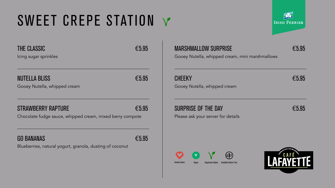## SWEET CREPE STATION V

### THE CLASSIC  $65.95$

Icing sugar sprinkles

#### $NUTELLA$  BLISS  $\epsilon$  5.95

Gooey Nutella, whipped cream

#### STRAWBERRY RAPTURE <del>€5.95</del>

Chocolate fudge sauce, whipped cream, mixed berry compote

#### $GO BANANAS \qquad \qquad \epsilon_{5.95}$

Blueberries, natural yogurt, granola, dusting of coconut







#### MARSHMALLOW SURPRISE  $\epsilon$ 5.95

Gooey Nutella, whipped cream, mini marshmallows

#### $CHEEKY \quad \epsilon$

Gooey Nutella, whipped cream

#### $SURPRISE$  OF THE DAY  $\epsilon$ 5.95

Please ask your server for details



Healthy Option Vegan Vegetarian Option Available Gluten Free









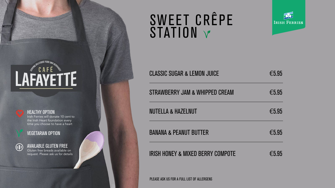



#### HEALTHY OPTION

Irish Ferries will donate 10 cent to the Irish Heart foundation every time you choose to have a heart

#### VEGETARIAN OPTION



## SWEET CRÊPE STATION V



#### AVAILABLE GLUTEN FREE

Gluten free breads available on request. Please ask us for details

| <b>CLASSIC SUGAR &amp; LEMON JUICE</b> | $\epsilon$ 5.95 |
|----------------------------------------|-----------------|
| STRAWBERRY JAM & WHIPPED CREAM         | $\epsilon$ 5.95 |
| <b>NUTELLA &amp; HAZELNUT</b>          | $\epsilon$ 5.95 |
| <b>BANANA &amp; PEANUT BUTTER</b>      | $\epsilon$ 5.95 |
| IRISH HONEY & MIXED BERRY COMPOTE      | $\epsilon$ 5.95 |